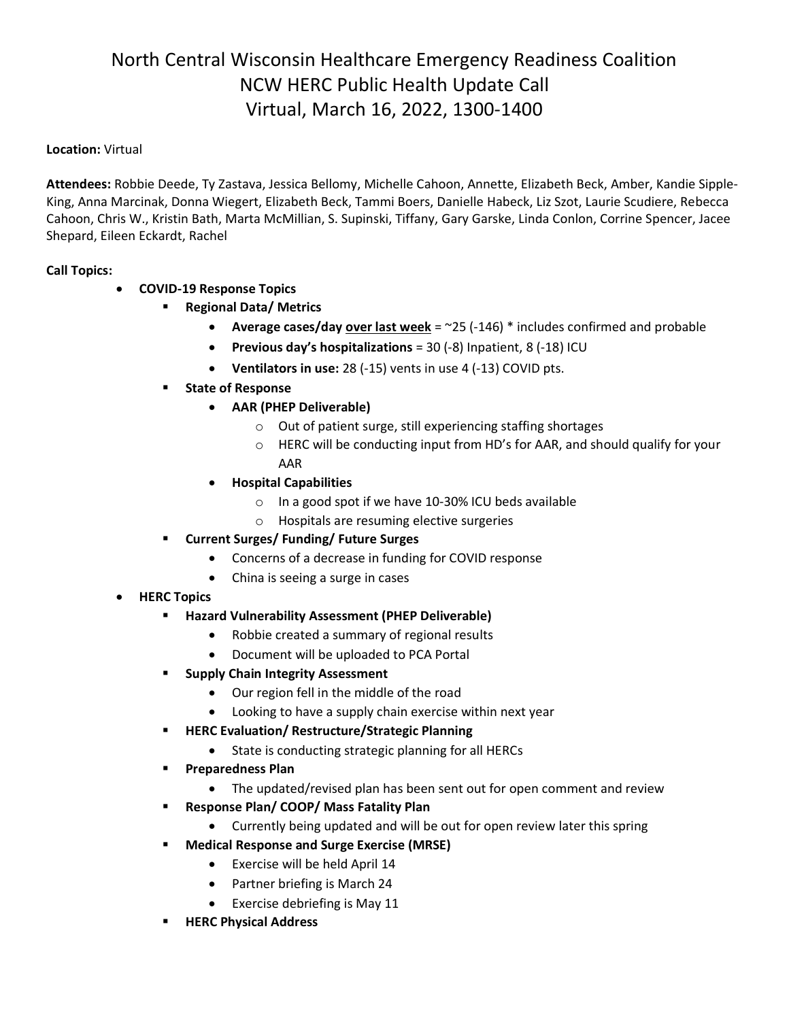## North Central Wisconsin Healthcare Emergency Readiness Coalition NCW HERC Public Health Update Call Virtual, March 16, 2022, 1300-1400

## **Location:** Virtual

**Attendees:** Robbie Deede, Ty Zastava, Jessica Bellomy, Michelle Cahoon, Annette, Elizabeth Beck, Amber, Kandie Sipple-King, Anna Marcinak, Donna Wiegert, Elizabeth Beck, Tammi Boers, Danielle Habeck, Liz Szot, Laurie Scudiere, Rebecca Cahoon, Chris W., Kristin Bath, Marta McMillian, S. Supinski, Tiffany, Gary Garske, Linda Conlon, Corrine Spencer, Jacee Shepard, Eileen Eckardt, Rachel

## **Call Topics:**

- **COVID-19 Response Topics**
	- **Regional Data/ Metrics**
		- **Average cases/day over last week** = ~25 (-146) \* includes confirmed and probable
		- **Previous day's hospitalizations** = 30 (-8) Inpatient, 8 (-18) ICU
		- **Ventilators in use:** 28 (-15) vents in use 4 (-13) COVID pts.
	- **State of Response**
		- **AAR (PHEP Deliverable)**
			- o Out of patient surge, still experiencing staffing shortages
			- o HERC will be conducting input from HD's for AAR, and should qualify for your AAR
		- **Hospital Capabilities**
			- o In a good spot if we have 10-30% ICU beds available
			- o Hospitals are resuming elective surgeries
	- **Current Surges/ Funding/ Future Surges**
		- Concerns of a decrease in funding for COVID response
		- China is seeing a surge in cases
- **HERC Topics**
	- **Hazard Vulnerability Assessment (PHEP Deliverable)**
		- Robbie created a summary of regional results
		- Document will be uploaded to PCA Portal
	- **Supply Chain Integrity Assessment**
		- Our region fell in the middle of the road
		- Looking to have a supply chain exercise within next year
	- **HERC Evaluation/ Restructure/Strategic Planning** 
		- State is conducting strategic planning for all HERCs
	- **Preparedness Plan**
		- The updated/revised plan has been sent out for open comment and review
	- **Response Plan/ COOP/ Mass Fatality Plan**
		- Currently being updated and will be out for open review later this spring
	- **Medical Response and Surge Exercise (MRSE)**
		- Exercise will be held April 14
		- Partner briefing is March 24
		- Exercise debriefing is May 11
	- **HERC Physical Address**